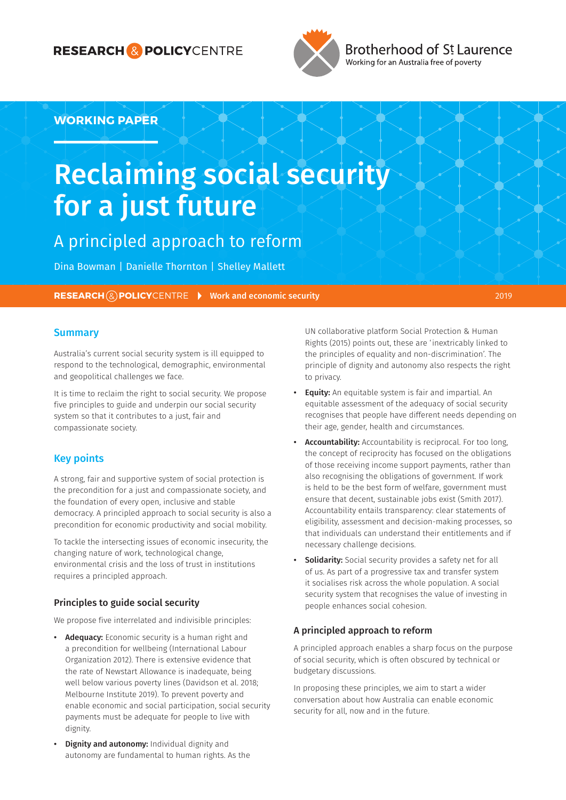### **RESEARCH & POLICY**CENTRE



Brotherhood of St Laurence Working for an Australia free of poverty

### **WORKING PAPER**

# Reclaiming social security for a just future

### A principled approach to reform

Dina Bowman | Danielle Thornton | Shelley Mallett

**RESEARCH (2) POLICY**CENTRE **Work and economic security 2019** 2019

#### **Summary**

Australia's current social security system is ill equipped to respond to the technological, demographic, environmental and geopolitical challenges we face.

It is time to reclaim the right to social security. We propose five principles to guide and underpin our social security system so that it contributes to a just, fair and compassionate society.

#### Key points

A strong, fair and supportive system of social protection is the precondition for a just and compassionate society, and the foundation of every open, inclusive and stable democracy. A principled approach to social security is also a precondition for economic productivity and social mobility.

To tackle the intersecting issues of economic insecurity, the changing nature of work, technological change, environmental crisis and the loss of trust in institutions requires a principled approach.

#### Principles to guide social security

We propose five interrelated and indivisible principles:

- **•** Adequacy: Economic security is a human right and a precondition for wellbeing (International Labour Organization 2012). There is extensive evidence that the rate of Newstart Allowance is inadequate, being well below various poverty lines (Davidson et al. 2018; Melbourne Institute 2019). To prevent poverty and enable economic and social participation, social security payments must be adequate for people to live with dignity.
- **Dignity and autonomy: Individual dignity and** autonomy are fundamental to human rights. As the

UN collaborative platform Social Protection & Human Rights (2015) points out, these are 'inextricably linked to the principles of equality and non-discrimination'. The principle of dignity and autonomy also respects the right to privacy.

- **Equity:** An equitable system is fair and impartial. An equitable assessment of the adequacy of social security recognises that people have different needs depending on their age, gender, health and circumstances.
- **•** Accountability: Accountability is reciprocal. For too long, the concept of reciprocity has focused on the obligations of those receiving income support payments, rather than also recognising the obligations of government. If work is held to be the best form of welfare, government must ensure that decent, sustainable jobs exist (Smith 2017). Accountability entails transparency: clear statements of eligibility, assessment and decision-making processes, so that individuals can understand their entitlements and if necessary challenge decisions.
- **Solidarity:** Social security provides a safety net for all of us. As part of a progressive tax and transfer system it socialises risk across the whole population. A social security system that recognises the value of investing in people enhances social cohesion.

#### A principled approach to reform

A principled approach enables a sharp focus on the purpose of social security, which is often obscured by technical or budgetary discussions.

In proposing these principles, we aim to start a wider conversation about how Australia can enable economic security for all, now and in the future.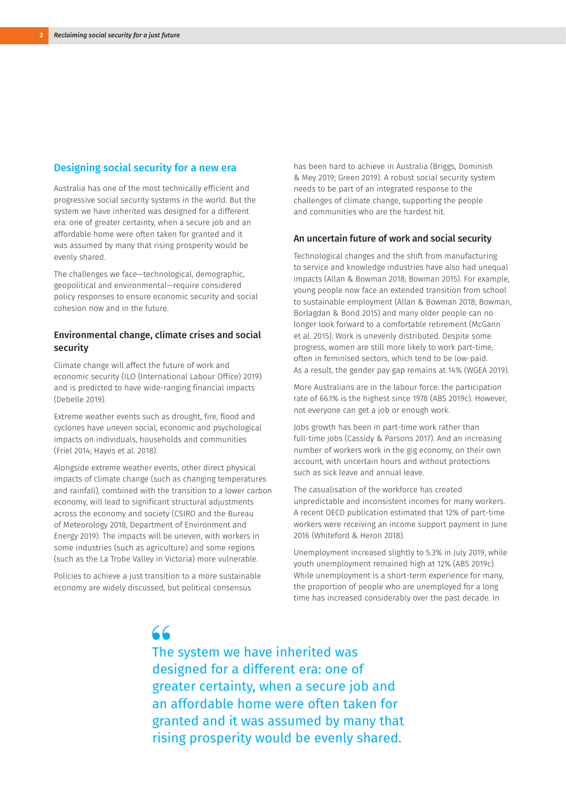#### Designing social security for a new era

Australia has one of the most technically efficient and progressive social security systems in the world. But the system we have inherited was designed for a different era: one of greater certainty, when a secure job and an affordable home were often taken for granted and it was assumed by many that rising prosperity would be evenly shared.

The challenges we face—technological, demographic, geopolitical and environmental—require considered policy responses to ensure economic security and social cohesion now and in the future.

#### Environmental change, climate crises and social security

Climate change will affect the future of work and economic security (ILO (International Labour Office) 2019) and is predicted to have wide-ranging financial impacts (Debelle 2019).

Extreme weather events such as drought, fire, flood and cyclones have uneven social, economic and psychological impacts on individuals, households and communities (Friel 2014; Hayes et al. 2018).

Alongside extreme weather events, other direct physical impacts of climate change (such as changing temperatures and rainfall), combined with the transition to a lower carbon economy, will lead to significant structural adjustments across the economy and society (CSIRO and the Bureau of Meteorology 2018; Department of Environment and Energy 2019). The impacts will be uneven, with workers in some industries (such as agriculture) and some regions (such as the La Trobe Valley in Victoria) more vulnerable.

Policies to achieve a just transition to a more sustainable economy are widely discussed, but political consensus

has been hard to achieve in Australia (Briggs, Dominish & Mey 2019; Green 2019). A robust social security system needs to be part of an integrated response to the challenges of climate change, supporting the people and communities who are the hardest hit.

#### An uncertain future of work and social security

Technological changes and the shift from manufacturing to service and knowledge industries have also had unequal impacts (Allan & Bowman 2018; Bowman 2015). For example, young people now face an extended transition from school to sustainable employment (Allan & Bowman 2018; Bowman, Borlagdan & Bond 2015) and many older people can no longer look forward to a comfortable retirement (McGann et al. 2015). Work is unevenly distributed. Despite some progress, women are still more likely to work part-time, often in feminised sectors, which tend to be low-paid. As a result, the gender pay gap remains at 14% (WGEA 2019).

More Australians are in the labour force: the participation rate of 66.1% is the highest since 1978 (ABS 2019c). However, not everyone can get a job or enough work.

Jobs growth has been in part-time work rather than full-time jobs (Cassidy & Parsons 2017). And an increasing number of workers work in the gig economy, on their own account, with uncertain hours and without protections such as sick leave and annual leave.

The casualisation of the workforce has created unpredictable and inconsistent incomes for many workers. A recent OECD publication estimated that 12% of part-time workers were receiving an income support payment in June 2016 (Whiteford & Heron 2018).

Unemployment increased slightly to 5.3% in July 2019, while youth unemployment remained high at 12% (ABS 2019c). While unemployment is a short-term experience for many, the proportion of people who are unemployed for a long time has increased considerably over the past decade. In

### $66$

The system we have inherited was designed for a different era: one of greater certainty, when a secure job and an affordable home were often taken for granted and it was assumed by many that rising prosperity would be evenly shared.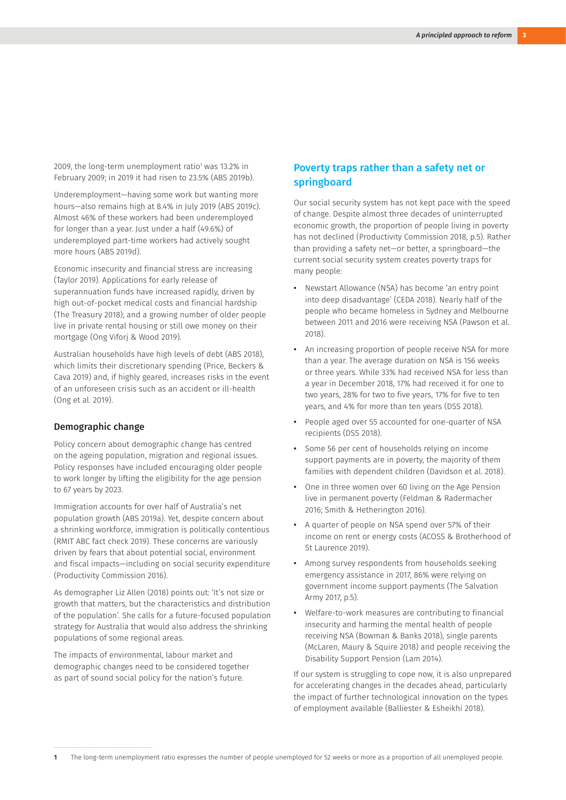2009, the long-term unemployment ratio<sup>1</sup> was 13.2% in February 2009; in 2019 it had risen to 23.5% (ABS 2019b).

Underemployment—having some work but wanting more hours—also remains high at 8.4% in July 2019 (ABS 2019c). Almost 46% of these workers had been underemployed for longer than a year. Just under a half (49.6%) of underemployed part-time workers had actively sought more hours (ABS 2019d).

Economic insecurity and financial stress are increasing (Taylor 2019). Applications for early release of superannuation funds have increased rapidly, driven by high out-of-pocket medical costs and financial hardship (The Treasury 2018); and a growing number of older people live in private rental housing or still owe money on their mortgage (Ong Viforj & Wood 2019).

Australian households have high levels of debt (ABS 2018), which limits their discretionary spending (Price, Beckers & Cava 2019) and, if highly geared, increases risks in the event of an unforeseen crisis such as an accident or ill-health (Ong et al. 2019).

#### Demographic change

Policy concern about demographic change has centred on the ageing population, migration and regional issues. Policy responses have included encouraging older people to work longer by lifting the eligibility for the age pension to 67 years by 2023.

Immigration accounts for over half of Australia's net population growth (ABS 2019a). Yet, despite concern about a shrinking workforce, immigration is politically contentious (RMIT ABC fact check 2019). These concerns are variously driven by fears that about potential social, environment and fiscal impacts—including on social security expenditure (Productivity Commission 2016).

As demographer Liz Allen (2018) points out: 'It's not size or growth that matters, but the characteristics and distribution of the population'. She calls for a future-focused population strategy for Australia that would also address the shrinking populations of some regional areas.

The impacts of environmental, labour market and demographic changes need to be considered together as part of sound social policy for the nation's future.

#### Poverty traps rather than a safety net or springboard

Our social security system has not kept pace with the speed of change. Despite almost three decades of uninterrupted economic growth, the proportion of people living in poverty has not declined (Productivity Commission 2018, p.5). Rather than providing a safety net—or better, a springboard—the current social security system creates poverty traps for many people:

- **•** Newstart Allowance (NSA) has become 'an entry point into deep disadvantage' (CEDA 2018). Nearly half of the people who became homeless in Sydney and Melbourne between 2011 and 2016 were receiving NSA (Pawson et al. 2018).
- **•** An increasing proportion of people receive NSA for more than a year. The average duration on NSA is 156 weeks or three years. While 33% had received NSA for less than a year in December 2018, 17% had received it for one to two years, 28% for two to five years, 17% for five to ten years, and 4% for more than ten years (DSS 2018).
- **•** People aged over 55 accounted for one-quarter of NSA recipients (DSS 2018).
- **•** Some 56 per cent of households relying on income support payments are in poverty, the majority of them families with dependent children (Davidson et al. 2018).
- **•** One in three women over 60 living on the Age Pension live in permanent poverty (Feldman & Radermacher 2016; Smith & Hetherington 2016).
- **•** A quarter of people on NSA spend over 57% of their income on rent or energy costs (ACOSS & Brotherhood of St Laurence 2019).
- **•** Among survey respondents from households seeking emergency assistance in 2017, 86% were relying on government income support payments (The Salvation Army 2017, p.5).
- **•** Welfare-to-work measures are contributing to financial insecurity and harming the mental health of people receiving NSA (Bowman & Banks 2018), single parents (McLaren, Maury & Squire 2018) and people receiving the Disability Support Pension (Lam 2014).

If our system is struggling to cope now, it is also unprepared for accelerating changes in the decades ahead, particularly the impact of further technological innovation on the types of employment available (Balliester & Esheikhi 2018).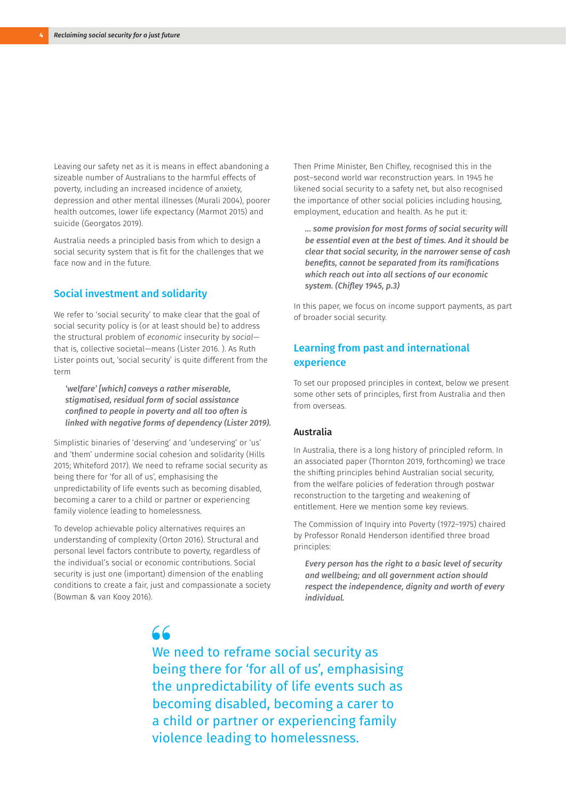Leaving our safety net as it is means in effect abandoning a sizeable number of Australians to the harmful effects of poverty, including an increased incidence of anxiety, depression and other mental illnesses (Murali 2004), poorer health outcomes, lower life expectancy (Marmot 2015) and suicide (Georgatos 2019).

Australia needs a principled basis from which to design a social security system that is fit for the challenges that we face now and in the future.

#### Social investment and solidarity

We refer to 'social security' to make clear that the goal of social security policy is (or at least should be) to address the structural problem of *economic* insecurity by *social* that is, collective societal—means (Lister 2016. ). As Ruth Lister points out, 'social security' is quite different from the term

*'welfare' [which] conveys a rather miserable, stigmatised, residual form of social assistance confined to people in poverty and all too often is linked with negative forms of dependency (Lister 2019).*

Simplistic binaries of 'deserving' and 'undeserving' or 'us' and 'them' undermine social cohesion and solidarity (Hills 2015; Whiteford 2017). We need to reframe social security as being there for 'for all of us', emphasising the unpredictability of life events such as becoming disabled, becoming a carer to a child or partner or experiencing family violence leading to homelessness.

To develop achievable policy alternatives requires an understanding of complexity (Orton 2016). Structural and personal level factors contribute to poverty, regardless of the individual's social or economic contributions. Social security is just one (important) dimension of the enabling conditions to create a fair, just and compassionate a society (Bowman & van Kooy 2016).

Then Prime Minister, Ben Chifley, recognised this in the post–second world war reconstruction years. In 1945 he likened social security to a safety net, but also recognised the importance of other social policies including housing, employment, education and health. As he put it:

*… some provision for most forms of social security will be essential even at the best of times. And it should be clear that social security, in the narrower sense of cash benefits, cannot be separated from its ramifications which reach out into all sections of our economic system. (Chifley 1945, p.3)* 

In this paper, we focus on income support payments, as part of broader social security.

### Learning from past and international experience

To set our proposed principles in context, below we present some other sets of principles, first from Australia and then from overseas.

#### Australia

In Australia, there is a long history of principled reform. In an associated paper (Thornton 2019, forthcoming) we trace the shifting principles behind Australian social security, from the welfare policies of federation through postwar reconstruction to the targeting and weakening of entitlement. Here we mention some key reviews.

The Commission of Inquiry into Poverty (1972–1975) chaired by Professor Ronald Henderson identified three broad principles:

*Every person has the right to a basic level of security and wellbeing; and all government action should respect the independence, dignity and worth of every individual.*

## $AC$

We need to reframe social security as being there for 'for all of us', emphasising the unpredictability of life events such as becoming disabled, becoming a carer to a child or partner or experiencing family violence leading to homelessness.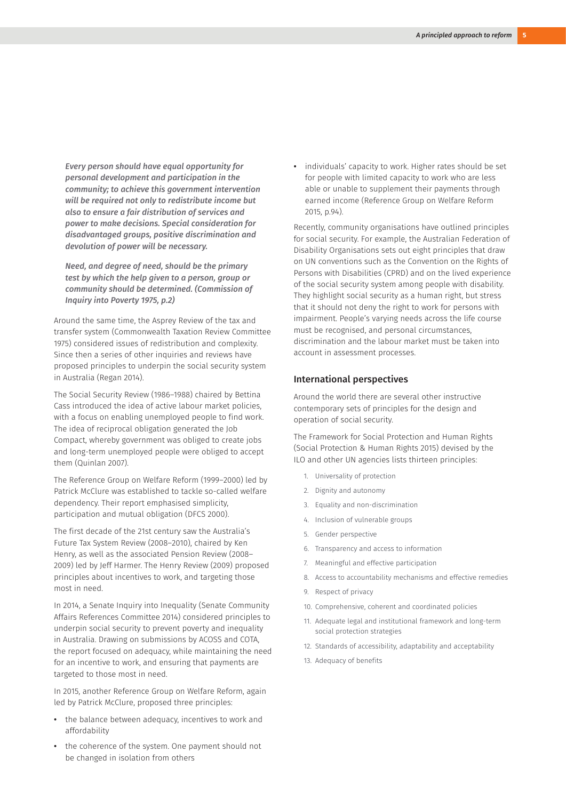*Every person should have equal opportunity for personal development and participation in the community; to achieve this government intervention will be required not only to redistribute income but also to ensure a fair distribution of services and power to make decisions. Special consideration for disadvantaged groups, positive discrimination and devolution of power will be necessary.*

*Need, and degree of need, should be the primary test by which the help given to a person, group or community should be determined. (Commission of Inquiry into Poverty 1975, p.2)*

Around the same time, the Asprey Review of the tax and transfer system (Commonwealth Taxation Review Committee 1975) considered issues of redistribution and complexity. Since then a series of other inquiries and reviews have proposed principles to underpin the social security system in Australia (Regan 2014).

The Social Security Review (1986–1988) chaired by Bettina Cass introduced the idea of active labour market policies, with a focus on enabling unemployed people to find work. The idea of reciprocal obligation generated the Job Compact, whereby government was obliged to create jobs and long-term unemployed people were obliged to accept them (Quinlan 2007).

The Reference Group on Welfare Reform (1999–2000) led by Patrick McClure was established to tackle so-called welfare dependency. Their report emphasised simplicity, participation and mutual obligation (DFCS 2000).

The first decade of the 21st century saw the Australia's Future Tax System Review (2008–2010), chaired by Ken Henry, as well as the associated Pension Review (2008– 2009) led by Jeff Harmer. The Henry Review (2009) proposed principles about incentives to work, and targeting those most in need.

In 2014, a Senate Inquiry into Inequality (Senate Community Affairs References Committee 2014) considered principles to underpin social security to prevent poverty and inequality in Australia. Drawing on submissions by ACOSS and COTA, the report focused on adequacy, while maintaining the need for an incentive to work, and ensuring that payments are targeted to those most in need.

In 2015, another Reference Group on Welfare Reform, again led by Patrick McClure, proposed three principles:

- **•** the balance between adequacy, incentives to work and affordability
- **•** the coherence of the system. One payment should not be changed in isolation from others

**•** individuals' capacity to work. Higher rates should be set for people with limited capacity to work who are less able or unable to supplement their payments through earned income (Reference Group on Welfare Reform 2015, p.94).

Recently, community organisations have outlined principles for social security. For example, the Australian Federation of Disability Organisations sets out eight principles that draw on UN conventions such as the Convention on the Rights of Persons with Disabilities (CPRD) and on the lived experience of the social security system among people with disability. They highlight social security as a human right, but stress that it should not deny the right to work for persons with impairment. People's varying needs across the life course must be recognised, and personal circumstances, discrimination and the labour market must be taken into account in assessment processes.

#### International perspectives

Around the world there are several other instructive contemporary sets of principles for the design and operation of social security.

The Framework for Social Protection and Human Rights (Social Protection & Human Rights 2015) devised by the ILO and other UN agencies lists thirteen principles:

- 1. Universality of protection
- 2. Dignity and autonomy
- 3. Equality and non-discrimination
- 4. Inclusion of vulnerable groups
- 5. Gender perspective
- 6. Transparency and access to information
- 7. Meaningful and effective participation
- 8. Access to accountability mechanisms and effective remedies
- 9. Respect of privacy
- 10. Comprehensive, coherent and coordinated policies
- 11. Adequate legal and institutional framework and long-term social protection strategies
- 12. Standards of accessibility, adaptability and acceptability
- 13. Adequacy of benefits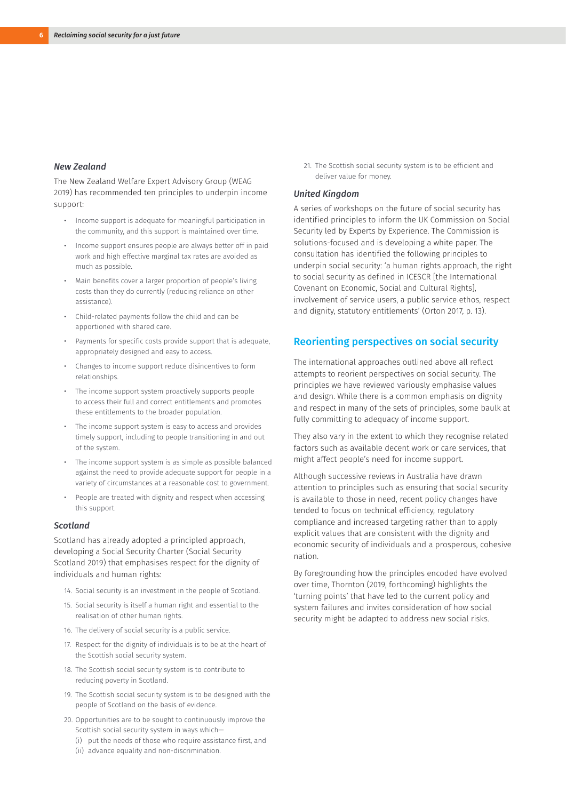#### *New Zealand*

The New Zealand Welfare Expert Advisory Group (WEAG 2019) has recommended ten principles to underpin income support:

- Income support is adequate for meaningful participation in the community, and this support is maintained over time.
- Income support ensures people are always better off in paid work and high effective marginal tax rates are avoided as much as possible.
- Main benefits cover a larger proportion of people's living costs than they do currently (reducing reliance on other assistance).
- Child-related payments follow the child and can be apportioned with shared care.
- Payments for specific costs provide support that is adequate, appropriately designed and easy to access.
- Changes to income support reduce disincentives to form relationships.
- The income support system proactively supports people to access their full and correct entitlements and promotes these entitlements to the broader population.
- The income support system is easy to access and provides timely support, including to people transitioning in and out of the system.
- The income support system is as simple as possible balanced against the need to provide adequate support for people in a variety of circumstances at a reasonable cost to government.
- People are treated with dignity and respect when accessing this support.

#### *Scotland*

Scotland has already adopted a principled approach, developing a Social Security Charter (Social Security Scotland 2019) that emphasises respect for the dignity of individuals and human rights:

- 14. Social security is an investment in the people of Scotland.
- 15. Social security is itself a human right and essential to the realisation of other human rights.
- 16. The delivery of social security is a public service.
- 17. Respect for the dignity of individuals is to be at the heart of the Scottish social security system.
- 18. The Scottish social security system is to contribute to reducing poverty in Scotland.
- 19. The Scottish social security system is to be designed with the people of Scotland on the basis of evidence.
- 20. Opportunities are to be sought to continuously improve the Scottish social security system in ways which—
	- (i) put the needs of those who require assistance first, and
	- (ii) advance equality and non-discrimination.

21. The Scottish social security system is to be efficient and deliver value for money.

#### *United Kingdom*

A series of workshops on the future of social security has identified principles to inform the UK Commission on Social Security led by Experts by Experience. The Commission is solutions-focused and is developing a white paper. The consultation has identified the following principles to underpin social security: 'a human rights approach, the right to social security as defined in ICESCR [the International Covenant on Economic, Social and Cultural Rights], involvement of service users, a public service ethos, respect and dignity, statutory entitlements' (Orton 2017, p. 13).

#### Reorienting perspectives on social security

The international approaches outlined above all reflect attempts to reorient perspectives on social security. The principles we have reviewed variously emphasise values and design. While there is a common emphasis on dignity and respect in many of the sets of principles, some baulk at fully committing to adequacy of income support.

They also vary in the extent to which they recognise related factors such as available decent work or care services, that might affect people's need for income support.

Although successive reviews in Australia have drawn attention to principles such as ensuring that social security is available to those in need, recent policy changes have tended to focus on technical efficiency, regulatory compliance and increased targeting rather than to apply explicit values that are consistent with the dignity and economic security of individuals and a prosperous, cohesive nation.

By foregrounding how the principles encoded have evolved over time, Thornton (2019, forthcoming) highlights the 'turning points' that have led to the current policy and system failures and invites consideration of how social security might be adapted to address new social risks.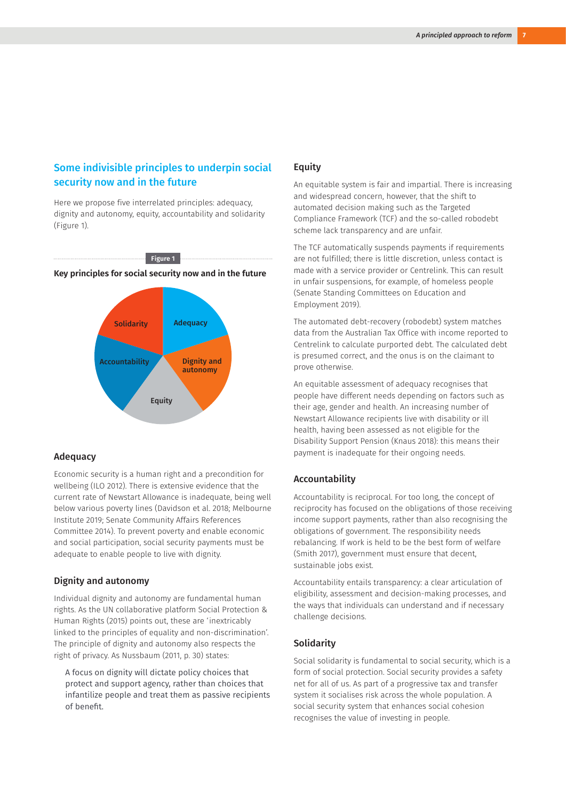### Some indivisible principles to underpin social security now and in the future

Here we propose five interrelated principles: adequacy, dignity and autonomy, equity, accountability and solidarity (Figure 1).

**Figure 1**

**Key principles for social security now and in the future**



#### Adequacy

Economic security is a human right and a precondition for wellbeing (ILO 2012). There is extensive evidence that the current rate of Newstart Allowance is inadequate, being well below various poverty lines (Davidson et al. 2018; Melbourne Institute 2019; Senate Community Affairs References Committee 2014). To prevent poverty and enable economic and social participation, social security payments must be adequate to enable people to live with dignity.

#### Dignity and autonomy

Individual dignity and autonomy are fundamental human rights. As the UN collaborative platform Social Protection & Human Rights (2015) points out, these are 'inextricably linked to the principles of equality and non-discrimination'. The principle of dignity and autonomy also respects the right of privacy. As Nussbaum (2011, p. 30) states:

A focus on dignity will dictate policy choices that protect and support agency, rather than choices that infantilize people and treat them as passive recipients of benefit.

#### **Equity**

An equitable system is fair and impartial. There is increasing and widespread concern, however, that the shift to automated decision making such as the Targeted Compliance Framework (TCF) and the so-called robodebt scheme lack transparency and are unfair.

The TCF automatically suspends payments if requirements are not fulfilled; there is little discretion, unless contact is made with a service provider or Centrelink. This can result in unfair suspensions, for example, of homeless people (Senate Standing Committees on Education and Employment 2019).

The automated debt-recovery (robodebt) system matches data from the Australian Tax Office with income reported to Centrelink to calculate purported debt. The calculated debt is presumed correct, and the onus is on the claimant to prove otherwise.

An equitable assessment of adequacy recognises that people have different needs depending on factors such as their age, gender and health. An increasing number of Newstart Allowance recipients live with disability or ill health, having been assessed as not eligible for the Disability Support Pension (Knaus 2018): this means their payment is inadequate for their ongoing needs.

#### Accountability

Accountability is reciprocal. For too long, the concept of reciprocity has focused on the obligations of those receiving income support payments, rather than also recognising the obligations of government. The responsibility needs rebalancing. If work is held to be the best form of welfare (Smith 2017), government must ensure that decent, sustainable jobs exist.

Accountability entails transparency: a clear articulation of eligibility, assessment and decision-making processes, and the ways that individuals can understand and if necessary challenge decisions.

#### **Solidarity**

Social solidarity is fundamental to social security, which is a form of social protection. Social security provides a safety net for all of us. As part of a progressive tax and transfer system it socialises risk across the whole population. A social security system that enhances social cohesion recognises the value of investing in people.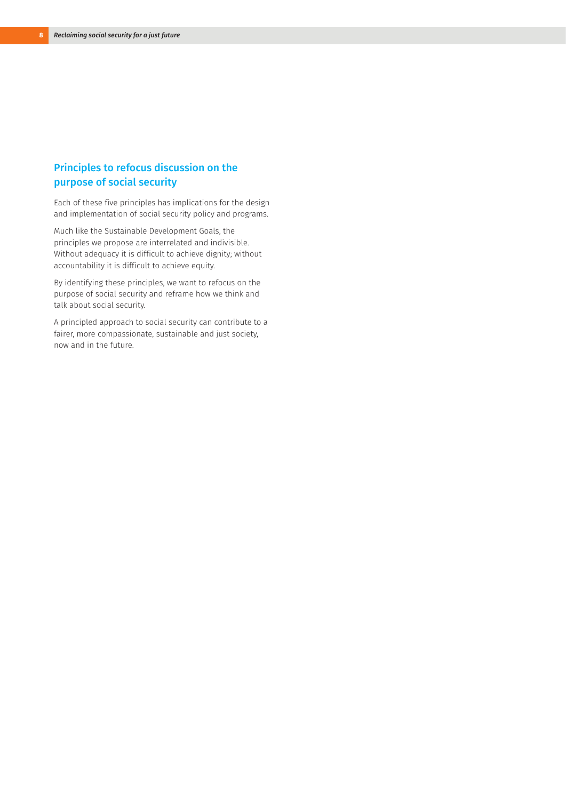### Principles to refocus discussion on the purpose of social security

Each of these five principles has implications for the design and implementation of social security policy and programs.

Much like the Sustainable Development Goals, the principles we propose are interrelated and indivisible. Without adequacy it is difficult to achieve dignity; without accountability it is difficult to achieve equity.

By identifying these principles, we want to refocus on the purpose of social security and reframe how we think and talk about social security.

A principled approach to social security can contribute to a fairer, more compassionate, sustainable and just society, now and in the future.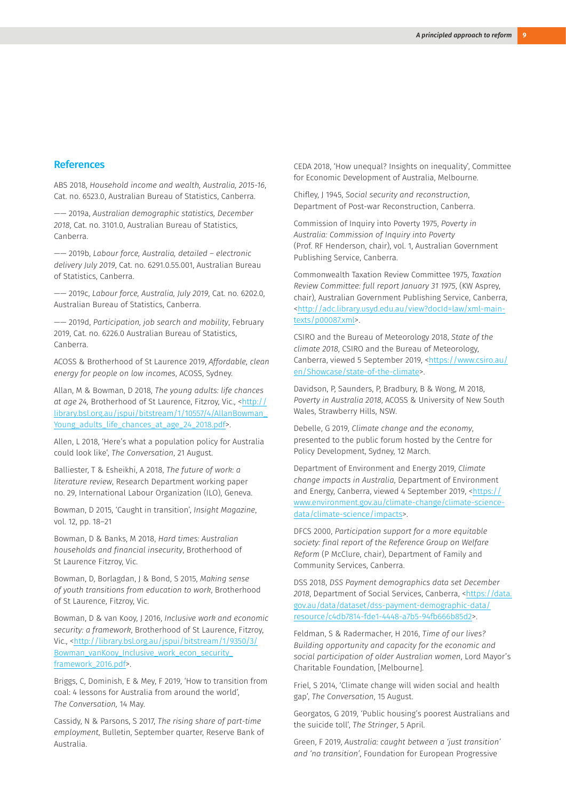#### References

ABS 2018, *Household income and wealth, Australia, 2015-16*, Cat. no. 6523.0, Australian Bureau of Statistics, Canberra.

—— 2019a, *Australian demographic statistics, December 2018*, Cat. no. 3101.0, Australian Bureau of Statistics, Canberra.

—— 2019b, *Labour force, Australia, detailed – electronic delivery July 2019*, Cat. no. 6291.0.55.001, Australian Bureau of Statistics, Canberra.

—— 2019c, *Labour force, Australia, July 2019*, Cat. no. 6202.0, Australian Bureau of Statistics, Canberra.

—— 2019d, *Participation, job search and mobility*, February 2019, Cat. no. 6226.0 Australian Bureau of Statistics, Canberra.

ACOSS & Brotherhood of St Laurence 2019, *Affordable, clean energy for people on low incomes*, ACOSS, Sydney.

Allan, M & Bowman, D 2018, *The young adults: life chances at age 24,* Brotherhood of St Laurence, Fitzroy, Vic., <[http://](http://library.bsl.org.au/jspui/bitstream/1/10557/4/AllanBowman_Young_adults_life_chances_at_age_24_) [library.bsl.org.au/jspui/bitstream/1/10557/4/AllanBowman\\_](http://library.bsl.org.au/jspui/bitstream/1/10557/4/AllanBowman_Young_adults_life_chances_at_age_24_) [Young\\_adults\\_life\\_chances\\_at\\_age\\_24\\_2018.pdf](http://library.bsl.org.au/jspui/bitstream/1/10557/4/AllanBowman_Young_adults_life_chances_at_age_24_)>.

Allen, L 2018, 'Here's what a population policy for Australia could look like', *The Conversation*, 21 August.

Balliester, T & Esheikhi, A 2018, *The future of work: a literature review*, Research Department working paper no. 29, International Labour Organization (ILO), Geneva.

Bowman, D 2015, 'Caught in transition', *Insight Magazine*, vol. 12, pp. 18–21

Bowman, D & Banks, M 2018, *Hard times: Australian households and financial insecurity*, Brotherhood of St Laurence Fitzroy, Vic.

Bowman, D, Borlagdan, J & Bond, S 2015, *Making sense of youth transitions from education to work*, Brotherhood of St Laurence, Fitzroy, Vic.

Bowman, D & van Kooy, J 2016, *Inclusive work and economic security: a framework*, Brotherhood of St Laurence, Fitzroy, Vic., <[http://library.bsl.org.au/jspui/bitstream/1/9350/3/](http://library.bsl.org.au/jspui/bitstream/1/9350/3/Bowman_vanKooy_Inclusive_work_econ_security_frame) [Bowman\\_vanKooy\\_Inclusive\\_work\\_econ\\_security\\_](http://library.bsl.org.au/jspui/bitstream/1/9350/3/Bowman_vanKooy_Inclusive_work_econ_security_frame) [framework\\_2016.pdf](http://library.bsl.org.au/jspui/bitstream/1/9350/3/Bowman_vanKooy_Inclusive_work_econ_security_frame)>.

Briggs, C, Dominish, E & Mey, F 2019, 'How to transition from coal: 4 lessons for Australia from around the world', *The Conversation,* 14 May.

Cassidy, N & Parsons, S 2017, *The rising share of part-time employment*, Bulletin, September quarter, Reserve Bank of Australia.

CEDA 2018, 'How unequal? Insights on inequality', Committee for Economic Development of Australia, Melbourne.

Chifley, J 1945, *Social security and reconstruction*, Department of Post-war Reconstruction, Canberra.

Commission of Inquiry into Poverty 1975, *Poverty in Australia: Commission of Inquiry into Poverty*  (Prof. RF Henderson, chair), vol. 1, Australian Government Publishing Service, Canberra.

Commonwealth Taxation Review Committee 1975, *Taxation Review Committee: full report January 31 1975*, (KW Asprey, chair), Australian Government Publishing Service, Canberra, [<http://adc.library.usyd.edu.au/view?docId=law/xml-main](http://adc.library.usyd.edu.au/view?docId=law/xml-main-texts/p00087.xml)[texts/p00087.xml](http://adc.library.usyd.edu.au/view?docId=law/xml-main-texts/p00087.xml)>.

CSIRO and the Bureau of Meteorology 2018, *State of the climate 2018*, CSIRO and the Bureau of Meteorology, Canberra, viewed 5 September 2019, [<https://www.csiro.au/](https://www.csiro.au/en/Showcase/state-of-the-climate) [en/Showcase/state-of-the-climate](https://www.csiro.au/en/Showcase/state-of-the-climate)>.

Davidson, P, Saunders, P, Bradbury, B & Wong, M 2018, *Poverty in Australia 2018*, ACOSS & University of New South Wales, Strawberry Hills, NSW.

Debelle, G 2019, *Climate change and the economy*, presented to the public forum hosted by the Centre for Policy Development, Sydney, 12 March.

Department of Environment and Energy 2019, *Climate change impacts in Australia*, Department of Environment and Energy, Canberra, viewed 4 September 2019, [<https://](https://www.environment.gov.au/climate-change/climate-science-data/climate-science/impacts) [www.environment.gov.au/climate-change/climate-science](https://www.environment.gov.au/climate-change/climate-science-data/climate-science/impacts)[data/climate-science/impacts](https://www.environment.gov.au/climate-change/climate-science-data/climate-science/impacts)>.

DFCS 2000, *Participation support for a more equitable society: final report of the Reference Group on Welfare Reform* (P McClure, chair), Department of Family and Community Services, Canberra.

DSS 2018, *DSS Payment demographics data set December 2018*, Department of Social Services, Canberra, <https://data. gov.au/data/dataset/dss-payment-demographic-data/ resource/c4db7814-fde1-4448-a7b5-94fb666b85d2>.

Feldman, S & Radermacher, H 2016, *Time of our lives? Building opportunity and capacity for the economic and social participation of older Australian women*, Lord Mayor's Charitable Foundation, [Melbourne].

Friel, S 2014, 'Climate change will widen social and health gap', *The Conversation*, 15 August.

Georgatos, G 2019, 'Public housing's poorest Australians and the suicide toll', *The Stringer*, 5 April.

Green, F 2019, *Australia: caught between a 'just transition' and 'no transition'*, Foundation for European Progressive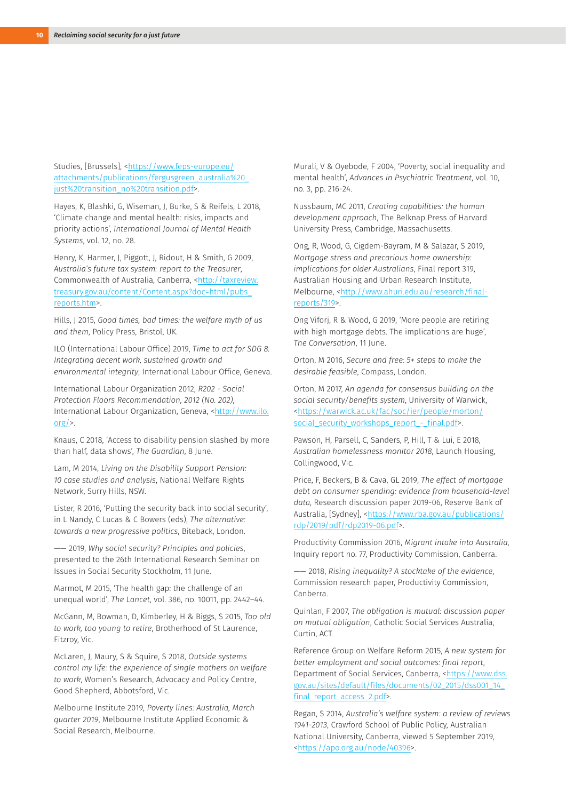Studies, [Brussels], <[https://www.feps-europe.eu/](https://www.feps-europe.eu/attachments/publications/fergusgreen_australia%20_just%20transition_no%20) [attachments/publications/fergusgreen\\_australia%20\\_](https://www.feps-europe.eu/attachments/publications/fergusgreen_australia%20_just%20transition_no%20) [just%20transition\\_no%20transition.pdf>](https://www.feps-europe.eu/attachments/publications/fergusgreen_australia%20_just%20transition_no%20).

Hayes, K, Blashki, G, Wiseman, J, Burke, S & Reifels, L 2018, 'Climate change and mental health: risks, impacts and priority actions', *International Journal of Mental Health Systems*, vol. 12, no. 28.

Henry, K, Harmer, J, Piggott, J, Ridout, H & Smith, G 2009, *Australia's future tax system: report to the Treasurer*, Commonwealth of Australia, Canberra, [<http://taxreview.](http://taxreview.treasury.gov.au/content/Content.aspx?doc=html/pubs_reports.htm) [treasury.gov.au/content/Content.aspx?doc=html/pubs\\_](http://taxreview.treasury.gov.au/content/Content.aspx?doc=html/pubs_reports.htm) [reports.htm](http://taxreview.treasury.gov.au/content/Content.aspx?doc=html/pubs_reports.htm)>.

Hills, J 2015, *Good times, bad times: the welfare myth of us and them*, Policy Press, Bristol, UK.

ILO (International Labour Office) 2019, *Time to act for SDG 8: Integrating decent work, sustained growth and environmental integrity*, International Labour Office, Geneva.

International Labour Organization 2012, *R202 - Social Protection Floors Recommendation, 2012 (No. 202)*, International Labour Organization, Geneva, <[http://www.ilo.](http://www.ilo.org/) [org/](http://www.ilo.org/)>.

Knaus, C 2018, 'Access to disability pension slashed by more than half, data shows', *The Guardian*, 8 June.

Lam, M 2014, *Living on the Disability Support Pension: 10 case studies and analysis*, National Welfare Rights Network, Surry Hills, NSW.

Lister, R 2016, 'Putting the security back into social security', in L Nandy, C Lucas & C Bowers (eds), *The alternative: towards a new progressive politics*, Biteback, London.

—— 2019, *Why social security? Principles and policies*, presented to the 26th International Research Seminar on Issues in Social Security Stockholm, 11 June.

Marmot, M 2015, 'The health gap: the challenge of an unequal world', *The Lancet*, vol. 386, no. 10011, pp. 2442–44.

McGann, M, Bowman, D, Kimberley, H & Biggs, S 2015, *Too old to work, too young to retire*, Brotherhood of St Laurence, Fitzroy, Vic.

McLaren, J, Maury, S & Squire, S 2018, *Outside systems control my life: the experience of single mothers on welfare to work*, Women's Research, Advocacy and Policy Centre, Good Shepherd, Abbotsford, Vic.

Melbourne Institute 2019, *Poverty lines: Australia, March quarter 2019*, Melbourne Institute Applied Economic & Social Research, Melbourne.

Murali, V & Oyebode, F 2004, 'Poverty, social inequality and mental health', *Advances in Psychiatric Treatment*, vol. 10, no. 3, pp. 216-24.

Nussbaum, MC 2011, *Creating capabilities: the human development approach*, The Belknap Press of Harvard University Press, Cambridge, Massachusetts.

Ong, R, Wood, G, Cigdem-Bayram, M & Salazar, S 2019, *Mortgage stress and precarious home ownership: implications for older Australians*, Final report 319, Australian Housing and Urban Research Institute, Melbourne, [<http://www.ahuri.edu.au/research/final](http://www.ahuri.edu.au/research/final-reports/319)[reports/319>](http://www.ahuri.edu.au/research/final-reports/319).

Ong Viforj, R & Wood, G 2019, 'More people are retiring with high mortgage debts. The implications are huge', *The Conversation*, 11 June.

Orton, M 2016, *Secure and free: 5+ steps to make the desirable feasible*, Compass, London.

Orton, M 2017, *An agenda for consensus building on the social security/benefits system*, University of Warwick, [<https://warwick.ac.uk/fac/soc/ier/people/morton/](https://warwick.ac.uk/fac/soc/ier/people/morton/social_security_workshops_report_-_final.pdf) [social\\_security\\_workshops\\_report\\_-\\_final.pdf](https://warwick.ac.uk/fac/soc/ier/people/morton/social_security_workshops_report_-_final.pdf)>.

Pawson, H, Parsell, C, Sanders, P, Hill, T & Lui, E 2018, *Australian homelessness monitor 2018*, Launch Housing, Collingwood, Vic.

Price, F, Beckers, B & Cava, GL 2019, *The effect of mortgage debt on consumer spending: evidence from household-level data*, Research discussion paper 2019-06, Reserve Bank of Australia, [Sydney], <[https://www.rba.gov.au/publications/](https://www.rba.gov.au/publications/rdp/2019/pdf/rdp2019-06.pdf) [rdp/2019/pdf/rdp2019-06.pdf](https://www.rba.gov.au/publications/rdp/2019/pdf/rdp2019-06.pdf)>.

Productivity Commission 2016, *Migrant intake into Australia*, Inquiry report no. 77, Productivity Commission, Canberra.

—— 2018, *Rising inequality? A stocktake of the evidence*, Commission research paper, Productivity Commission, Canberra.

Quinlan, F 2007, *The obligation is mutual: discussion paper on mutual obligation*, Catholic Social Services Australia, Curtin, ACT.

Reference Group on Welfare Reform 2015, *A new system for better employment and social outcomes: final report*, Department of Social Services, Canberra, <[https://www.dss.](https://www.dss.gov.au/sites/default/files/documents/02_2015/dss001_14_final_report_access_2.pdf) [gov.au/sites/default/files/documents/02\\_2015/dss001\\_14\\_](https://www.dss.gov.au/sites/default/files/documents/02_2015/dss001_14_final_report_access_2.pdf) [final\\_report\\_access\\_2.pdf](https://www.dss.gov.au/sites/default/files/documents/02_2015/dss001_14_final_report_access_2.pdf)>.

Regan, S 2014, *Australia's welfare system: a review of reviews 1941-2013*, Crawford School of Public Policy, Australian National University, Canberra, viewed 5 September 2019, [<https://apo.org.au/node/40396>](https://apo.org.au/node/40396).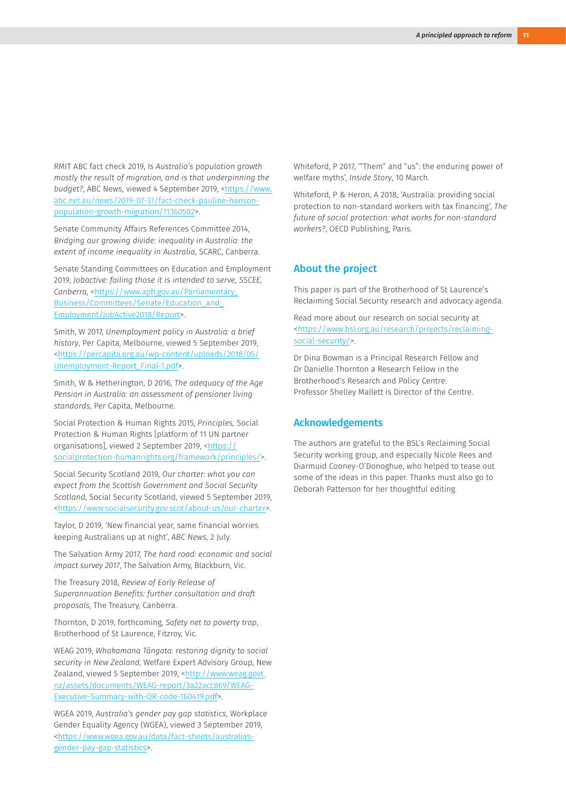RMIT ABC fact check 2019, *Is Australia's population growth mostly the result of migration, and is that underpinning the budget?*, ABC News, viewed 4 September 2019, <[https://www.](https://www.abc.net.au/news/2019-07-31/fact-check-pauline-hanson-population-growth-migration/11360502) [abc.net.au/news/2019-07-31/fact-check-pauline-hanson](https://www.abc.net.au/news/2019-07-31/fact-check-pauline-hanson-population-growth-migration/11360502)[population-growth-migration/11360502>](https://www.abc.net.au/news/2019-07-31/fact-check-pauline-hanson-population-growth-migration/11360502).

Senate Community Affairs References Committee 2014, *Bridging our growing divide: inequality in Australia: the extent of income inequality in Australia*, SCARC, Canberra.

Senate Standing Committees on Education and Employment 2019, *Jobactive: failing those it is intended to serve, SSCEE,*  Canberra, <[https://www.aph.gov.au/Parliamentary\\_](https://www.aph.gov.au/Parliamentary_Business/Committees/Senate/Education_and_Employment/JobActive2018/Report) [Business/Committees/Senate/Education\\_and\\_](https://www.aph.gov.au/Parliamentary_Business/Committees/Senate/Education_and_Employment/JobActive2018/Report) [Employment/JobActive2018/Report](https://www.aph.gov.au/Parliamentary_Business/Committees/Senate/Education_and_Employment/JobActive2018/Report)>.

Smith, W 2017, *Unemployment policy in Australia: a brief history*, Per Capita, Melbourne, viewed 5 September 2019, <[https://percapita.org.au/wp-content/uploads/2018/05/](https://percapita.org.au/wp-content/uploads/2018/05/Unemployment-Report_Final-1.pdf) [Unemployment-Report\\_Final-1.pdf](https://percapita.org.au/wp-content/uploads/2018/05/Unemployment-Report_Final-1.pdf)>.

Smith, W & Hetherington, D 2016, *The adequacy of the Age Pension in Australia: an assessment of pensioner living standards*, Per Capita, Melbourne.

Social Protection & Human Rights 2015, *Principles,* Social Protection & Human Rights [platform of 11 UN partner organisations], viewed 2 September 2019, <[https://](https://socialprotection-humanrights.org/framework/principles/) [socialprotection-humanrights.org/framework/principles/](https://socialprotection-humanrights.org/framework/principles/)>.

Social Security Scotland 2019, *Our charter: what you can expect from the Scottish Government and Social Security Scotland*, Social Security Scotland, viewed 5 September 2019, <[https://www.socialsecurity.gov.scot/about-us/our-charter>](https://www.socialsecurity.gov.scot/about-us/our-charter).

Taylor, D 2019, 'New financial year, same financial worries keeping Australians up at night', *ABC News*, 2 July.

The Salvation Army 2017, *The hard road: economic and social impact survey 2017*, The Salvation Army, Blackburn, Vic.

The Treasury 2018, *Review of Early Release of Superannuation Benefits: further consultation and draft proposals,* The Treasury, Canberra.

Thornton, D 2019, forthcoming, *Safety net to poverty trap*, Brotherhood of St Laurence, Fitzroy, Vic.

WEAG 2019, *Whakamana Tāngata: restoring dignity to social security in New Zealand*, Welfare Expert Advisory Group, New Zealand, viewed 5 September 2019, <[http://www.weag.govt.](http://www.weag.govt.nz/assets/documents/WEAG-report/3a22acc869/WEAG-Executive-Summary-with-QR-code-160419.pdf) [nz/assets/documents/WEAG-report/3a22acc869/WEAG-](http://www.weag.govt.nz/assets/documents/WEAG-report/3a22acc869/WEAG-Executive-Summary-with-QR-code-160419.pdf)[Executive-Summary-with-QR-code-160419.pdf>](http://www.weag.govt.nz/assets/documents/WEAG-report/3a22acc869/WEAG-Executive-Summary-with-QR-code-160419.pdf).

WGEA 2019, *Australia's gender pay gap statistics*, Workplace Gender Equality Agency (WGEA), viewed 3 September 2019, <[https://www.wgea.gov.au/data/fact-sheets/australias](https://www.wgea.gov.au/data/fact-sheets/australias-gender-pay-gap-statistics)[gender-pay-gap-statistics](https://www.wgea.gov.au/data/fact-sheets/australias-gender-pay-gap-statistics)>.

Whiteford, P 2017, '"Them" and "us": the enduring power of welfare myths', *Inside Story*, 10 March.

Whiteford, P & Heron, A 2018, 'Australia: providing social protection to non-standard workers with tax financing', *The future of social protection: what works for non-standard workers?*, OECD Publishing, Paris.

#### About the project

This paper is part of the Brotherhood of St Laurence's Reclaiming Social Security research and advocacy agenda.

Read more about our research on social security at [<https://www.bsl.org.au/research/projects/reclaiming](https://www.bsl.org.au/research/projects/reclaiming-social-security/)[social-security/](https://www.bsl.org.au/research/projects/reclaiming-social-security/)>.

Dr Dina Bowman is a Principal Research Fellow and Dr Danielle Thornton a Research Fellow in the Brotherhood's Research and Policy Centre. Professor Shelley Mallett is Director of the Centre.

#### Acknowledgements

The authors are grateful to the BSL's Reclaiming Social Security working group, and especially Nicole Rees and Diarmuid Cooney-O'Donoghue, who helped to tease out some of the ideas in this paper. Thanks must also go to Deborah Patterson for her thoughtful editing.